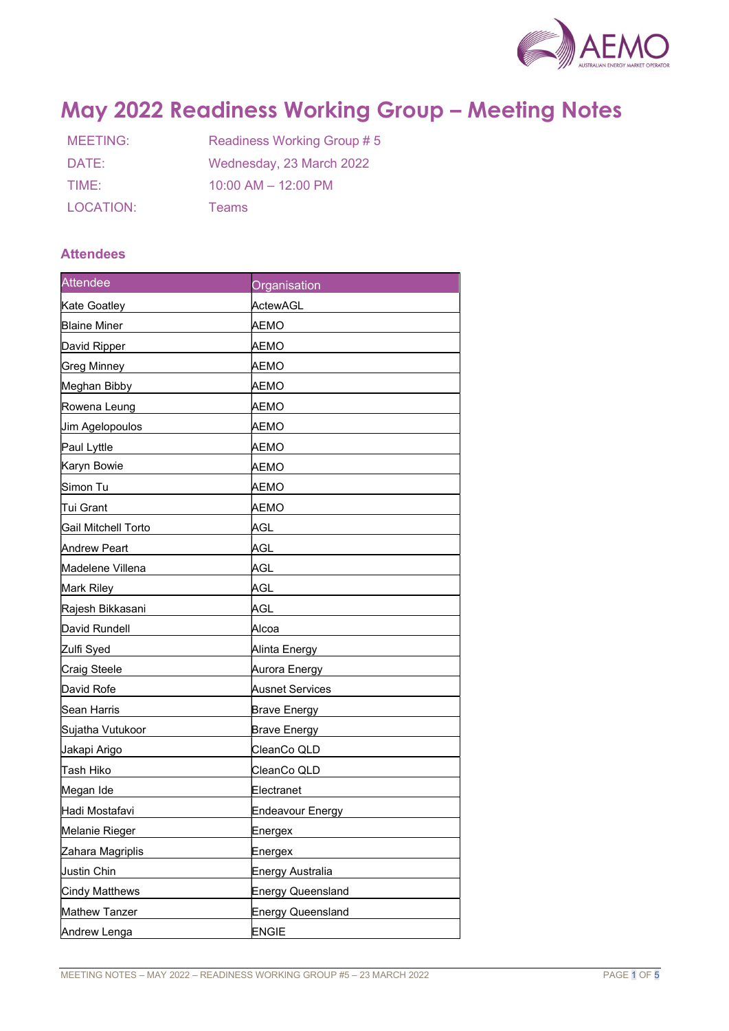

# May 2022 Readiness Working Group – Meeting Notes

| MEETING:  | Readiness Working Group #5 |
|-----------|----------------------------|
| DATE:     | Wednesday, 23 March 2022   |
| TIME:     | $10:00$ AM $- 12:00$ PM    |
| LOCATION: | <b>Teams</b>               |

## **Attendees**

| <b>Attendee</b>       | Organisation        |
|-----------------------|---------------------|
| Kate Goatley          | ActewAGL            |
| <b>Blaine Miner</b>   | АЕМО                |
| David Ripper          | AEMO                |
| <b>Greg Minney</b>    | АЕМО                |
| Meghan Bibby          | AEMO                |
| Rowena Leung          | AEMO                |
| Jim Agelopoulos       | AEMO                |
| Paul Lyttle           | АЕМО                |
| Karyn Bowie           | АЕМО                |
| Simon Tu              | AEMO                |
| Tui Grant             | АЕМО                |
| Gail Mitchell Torto   | AGL                 |
| <b>Andrew Peart</b>   | AGL                 |
| Madelene Villena      | AGL                 |
| Mark Riley            | AGL                 |
| Rajesh Bikkasani      | AGL                 |
| David Rundell         | Alcoa               |
| Zulfi Syed            | Alinta Energy       |
| <b>Craig Steele</b>   | Aurora Energy       |
| David Rofe            | Ausnet Services     |
| Sean Harris           | <b>Brave Energy</b> |
| Sujatha Vutukoor      | <b>Brave Energy</b> |
| Jakapi Arigo          | CleanCo QLD         |
| Tash Hiko             | CleanCo QLD         |
| Megan Ide             | Electranet          |
| Hadi Mostafavi        | Endeavour Energy    |
| Melanie Rieger        | Energex             |
| Zahara Magriplis      | Energex             |
| Justin Chin           | Energy Australia    |
| <b>Cindy Matthews</b> | Energy Queensland   |
| Mathew Tanzer         | Energy Queensland   |
| Andrew Lenga          | <b>ENGIE</b>        |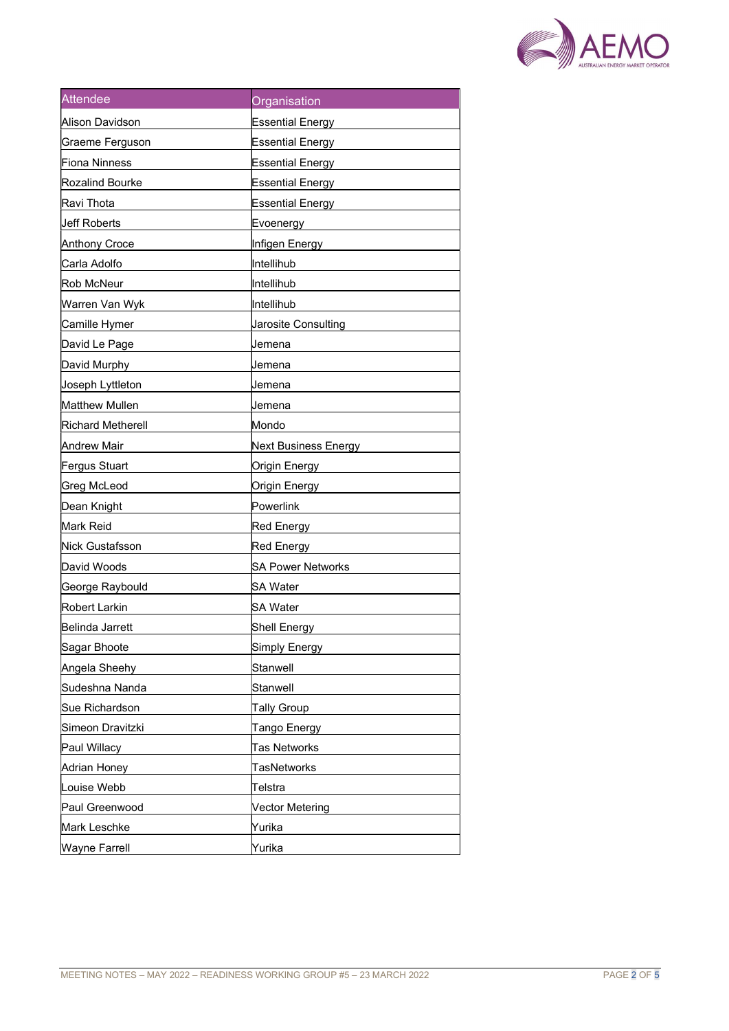

| <b>Attendee</b>          | Organisation             |
|--------------------------|--------------------------|
| <b>Alison Davidson</b>   | <b>Essential Energy</b>  |
| Graeme Ferguson          | <b>Essential Energy</b>  |
| <b>Fiona Ninness</b>     | Essential Energy         |
| <b>Rozalind Bourke</b>   | <b>Essential Energy</b>  |
| Ravi Thota               | <b>Essential Energy</b>  |
| Ueff Roberts             | Evoenergy                |
| Anthony Croce            | Infigen Energy           |
| Carla Adolfo             | llntellihub              |
| Rob McNeur               | Intellihub               |
| Warren Van Wyk           | Intellihub               |
| Camille Hymer            | Jarosite Consulting      |
| David Le Page            | Jemena                   |
| David Murphy             | Jemena                   |
| Joseph Lyttleton         | Jemena                   |
| Matthew Mullen           | Jemena                   |
| <b>Richard Metherell</b> | Mondo                    |
| Andrew Mair              | Next Business Energy     |
| Fergus Stuart            | Origin Energy            |
| <b>Greg McLeod</b>       | Origin Energy            |
| Dean Knight              | Powerlink                |
| Mark Reid                | Red Energy               |
| Nick Gustafsson          | Red Energy               |
| David Woods              | <b>SA Power Networks</b> |
| George Raybould          | SA Water                 |
| Robert Larkin            | SA Water                 |
| Belinda Jarrett          | Shell Energy             |
| Sagar Bhoote             | Simply Energy            |
| Angela Sheehy            | Stanwell                 |
| Sudeshna Nanda           | Stanwell                 |
| Sue Richardson           | <b>Tally Group</b>       |
| Simeon Dravitzki         | Tango Energy             |
| Paul Willacy             | Tas Networks             |
| Adrian Honey             | <b>TasNetworks</b>       |
| Louise Webb              | Telstra                  |
| Paul Greenwood           | <b>Vector Metering</b>   |
| Mark Leschke             | Yurika                   |
| <b>Wayne Farrell</b>     | Yurika                   |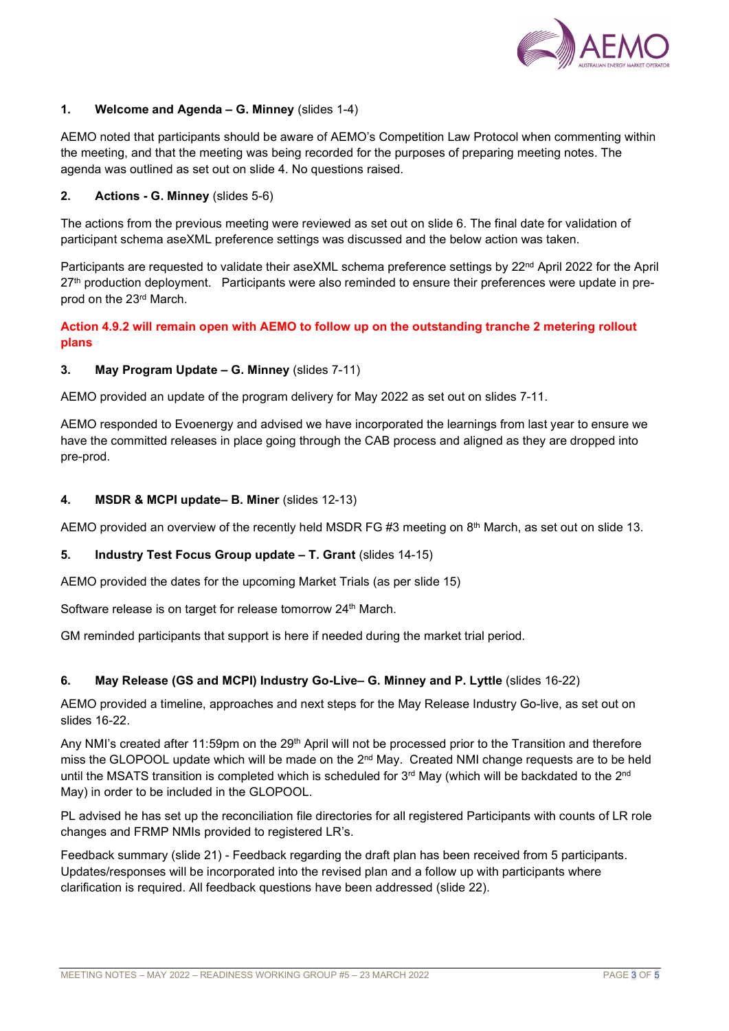

## 1. Welcome and Agenda – G. Minney (slides 1-4)

AEMO noted that participants should be aware of AEMO's Competition Law Protocol when commenting within the meeting, and that the meeting was being recorded for the purposes of preparing meeting notes. The agenda was outlined as set out on slide 4. No questions raised.

## 2. Actions - G. Minney (slides 5-6)

The actions from the previous meeting were reviewed as set out on slide 6. The final date for validation of participant schema aseXML preference settings was discussed and the below action was taken.

Participants are requested to validate their aseXML schema preference settings by 22<sup>nd</sup> April 2022 for the April 27<sup>th</sup> production deployment. Participants were also reminded to ensure their preferences were update in preprod on the 23rd March.

## Action 4.9.2 will remain open with AEMO to follow up on the outstanding tranche 2 metering rollout plans

### 3. May Program Update – G. Minney (slides 7-11)

AEMO provided an update of the program delivery for May 2022 as set out on slides 7-11.

AEMO responded to Evoenergy and advised we have incorporated the learnings from last year to ensure we have the committed releases in place going through the CAB process and aligned as they are dropped into pre-prod.

### 4. MSDR & MCPI update– B. Miner (slides 12-13)

AEMO provided an overview of the recently held MSDR FG #3 meeting on  $8<sup>th</sup>$  March, as set out on slide 13.

### 5. Industry Test Focus Group update – T. Grant (slides 14-15)

AEMO provided the dates for the upcoming Market Trials (as per slide 15)

Software release is on target for release tomorrow 24<sup>th</sup> March.

GM reminded participants that support is here if needed during the market trial period.

### 6. May Release (GS and MCPI) Industry Go-Live– G. Minney and P. Lyttle (slides 16-22)

AEMO provided a timeline, approaches and next steps for the May Release Industry Go-live, as set out on slides 16-22.

Any NMI's created after 11:59pm on the 29<sup>th</sup> April will not be processed prior to the Transition and therefore miss the GLOPOOL update which will be made on the 2<sup>nd</sup> May. Created NMI change requests are to be held until the MSATS transition is completed which is scheduled for 3<sup>rd</sup> May (which will be backdated to the 2<sup>nd</sup> May) in order to be included in the GLOPOOL.

PL advised he has set up the reconciliation file directories for all registered Participants with counts of LR role changes and FRMP NMIs provided to registered LR's.

Feedback summary (slide 21) - Feedback regarding the draft plan has been received from 5 participants. Updates/responses will be incorporated into the revised plan and a follow up with participants where clarification is required. All feedback questions have been addressed (slide 22).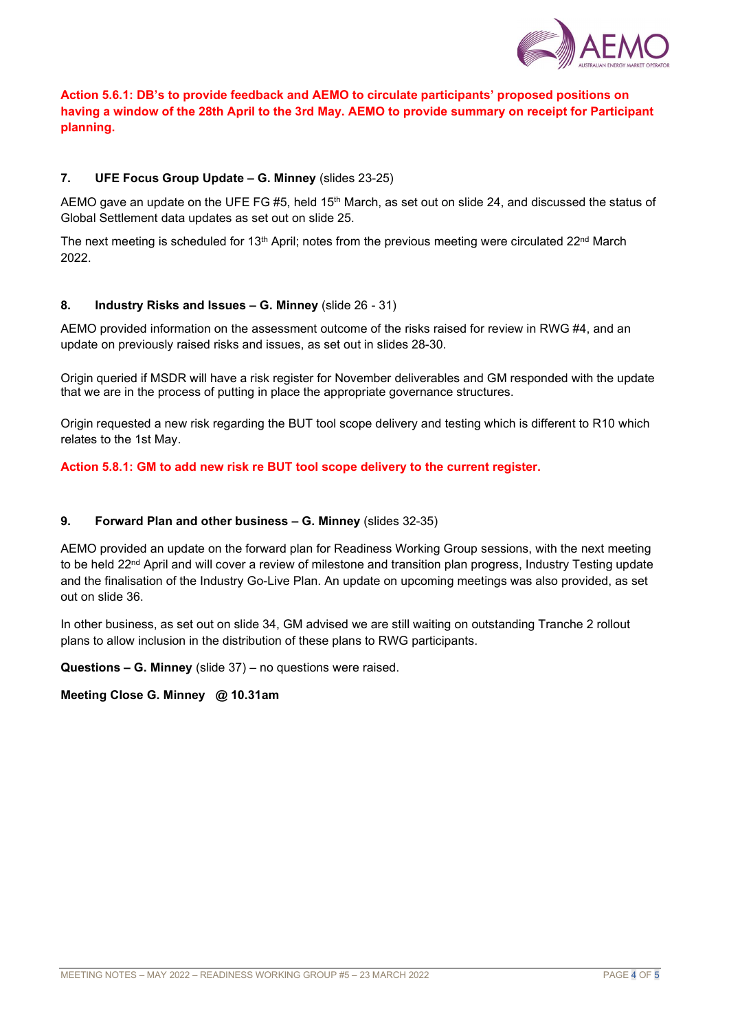

# Action 5.6.1: DB's to provide feedback and AEMO to circulate participants' proposed positions on having a window of the 28th April to the 3rd May. AEMO to provide summary on receipt for Participant planning.

## 7. UFE Focus Group Update – G. Minney (slides 23-25)

AEMO gave an update on the UFE FG #5, held 15<sup>th</sup> March, as set out on slide 24, and discussed the status of Global Settlement data updates as set out on slide 25.

The next meeting is scheduled for 13<sup>th</sup> April; notes from the previous meeting were circulated  $22^{nd}$  March 2022.

### 8. Industry Risks and Issues – G. Minney (slide 26 - 31)

AEMO provided information on the assessment outcome of the risks raised for review in RWG #4, and an update on previously raised risks and issues, as set out in slides 28-30.

Origin queried if MSDR will have a risk register for November deliverables and GM responded with the update that we are in the process of putting in place the appropriate governance structures.

Origin requested a new risk regarding the BUT tool scope delivery and testing which is different to R10 which relates to the 1st May.

#### Action 5.8.1: GM to add new risk re BUT tool scope delivery to the current register.

#### 9. Forward Plan and other business – G. Minney (slides 32-35)

AEMO provided an update on the forward plan for Readiness Working Group sessions, with the next meeting to be held 22<sup>nd</sup> April and will cover a review of milestone and transition plan progress, Industry Testing update and the finalisation of the Industry Go-Live Plan. An update on upcoming meetings was also provided, as set out on slide 36.

In other business, as set out on slide 34, GM advised we are still waiting on outstanding Tranche 2 rollout plans to allow inclusion in the distribution of these plans to RWG participants.

Questions – G. Minney (slide 37) – no questions were raised.

#### Meeting Close G. Minney @ 10.31am